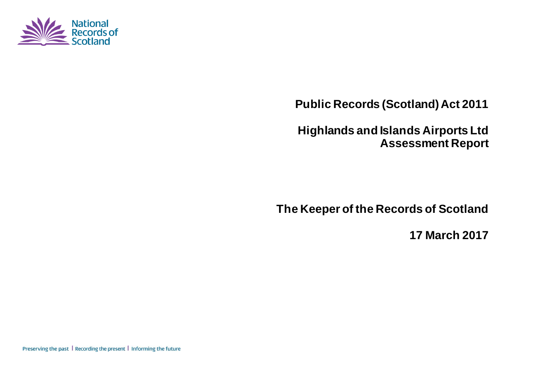

**Public Records (Scotland) Act 2011**

**Highlands and Islands Airports Ltd Assessment Report**

**The Keeper of the Records of Scotland**

**17 March 2017**

Preserving the past | Recording the present | Informing the future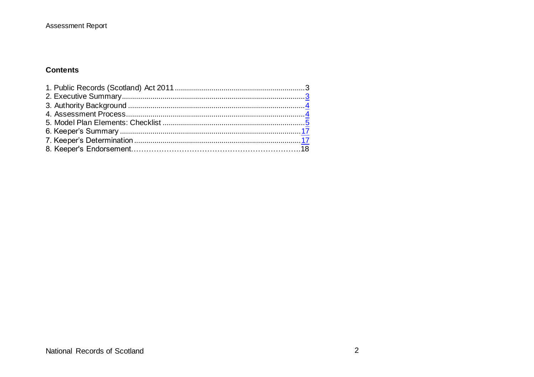#### **Contents**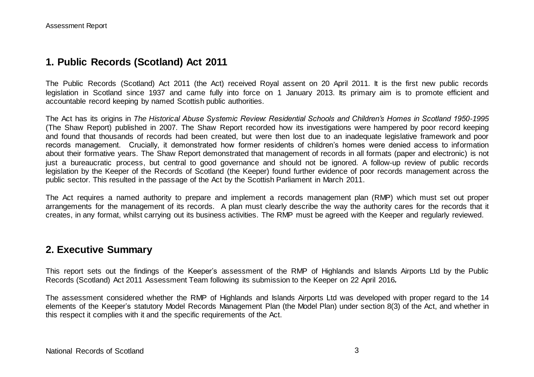### **1. Public Records (Scotland) Act 2011**

The Public Records (Scotland) Act 2011 (the Act) received Royal assent on 20 April 2011. It is the first new public records legislation in Scotland since 1937 and came fully into force on 1 January 2013. Its primary aim is to promote efficient and accountable record keeping by named Scottish public authorities.

The Act has its origins in *The Historical Abuse Systemic Review: Residential Schools and Children's Homes in Scotland 1950-1995* (The Shaw Report) published in 2007. The Shaw Report recorded how its investigations were hampered by poor record keeping and found that thousands of records had been created, but were then lost due to an inadequate legislative framework and poor records management. Crucially, it demonstrated how former residents of children's homes were denied access to information about their formative years. The Shaw Report demonstrated that management of records in all formats (paper and electronic) is not just a bureaucratic process, but central to good governance and should not be ignored. A follow-up review of public records legislation by the Keeper of the Records of Scotland (the Keeper) found further evidence of poor records management across the public sector. This resulted in the passage of the Act by the Scottish Parliament in March 2011.

The Act requires a named authority to prepare and implement a records management plan (RMP) which must set out proper arrangements for the management of its records. A plan must clearly describe the way the authority cares for the records that it creates, in any format, whilst carrying out its business activities. The RMP must be agreed with the Keeper and regularly reviewed.

#### **2. Executive Summary**

This report sets out the findings of the Keeper's assessment of the RMP of Highlands and Islands Airports Ltd by the Public Records (Scotland) Act 2011 Assessment Team following its submission to the Keeper on 22 April 2016*.*

The assessment considered whether the RMP of Highlands and Islands Airports Ltd was developed with proper regard to the 14 elements of the Keeper's statutory Model Records Management Plan (the Model Plan) under section 8(3) of the Act, and whether in this respect it complies with it and the specific requirements of the Act.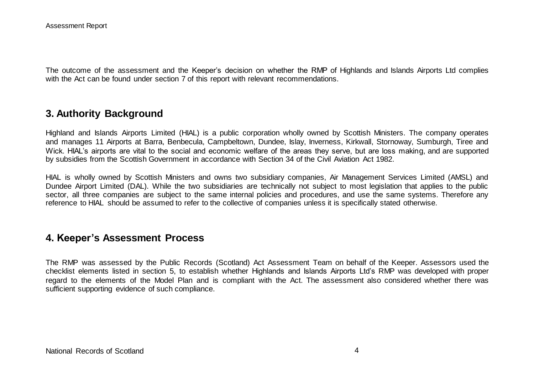The outcome of the assessment and the Keeper's decision on whether the RMP of Highlands and Islands Airports Ltd complies with the Act can be found under section 7 of this report with relevant recommendations.

#### **3. Authority Background**

Highland and Islands Airports Limited (HIAL) is a public corporation wholly owned by Scottish Ministers. The company operates and manages 11 Airports at Barra, Benbecula, Campbeltown, Dundee, Islay, Inverness, Kirkwall, Stornoway, Sumburgh, Tiree and Wick. HIAL's airports are vital to the social and economic welfare of the areas they serve, but are loss making, and are supported by subsidies from the Scottish Government in accordance with Section 34 of the Civil Aviation Act 1982.

HIAL is wholly owned by Scottish Ministers and owns two subsidiary companies, Air Management Services Limited (AMSL) and Dundee Airport Limited (DAL). While the two subsidiaries are technically not subject to most legislation that applies to the public sector, all three companies are subject to the same internal policies and procedures, and use the same systems. Therefore any reference to HIAL should be assumed to refer to the collective of companies unless it is specifically stated otherwise.

#### **4. Keeper's Assessment Process**

The RMP was assessed by the Public Records (Scotland) Act Assessment Team on behalf of the Keeper. Assessors used the checklist elements listed in section 5, to establish whether Highlands and Islands Airports Ltd's RMP was developed with proper regard to the elements of the Model Plan and is compliant with the Act. The assessment also considered whether there was sufficient supporting evidence of such compliance.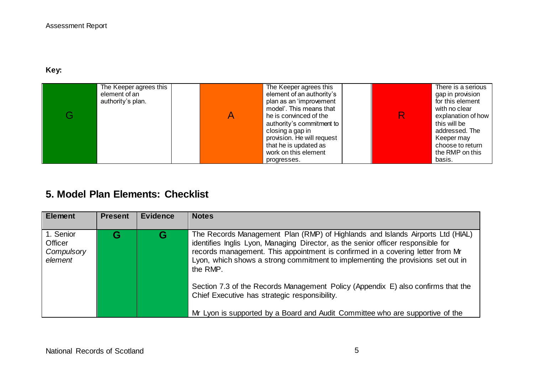#### **Key:**

| The Keeper agrees this<br>element of an<br>authority's plan. | The Keeper agrees this<br>element of an authority's<br>plan as an 'improvement<br>model'. This means that<br>he is convinced of the<br>authority's commitment to<br>closing a gap in<br>provision. He will request<br>that he is updated as<br>work on this element |  | There is a serious<br>gap in provision<br>for this element<br>with no clear<br>explanation of how<br>this will be<br>addressed. The<br>Keeper may<br>choose to return<br>the RMP on this |
|--------------------------------------------------------------|---------------------------------------------------------------------------------------------------------------------------------------------------------------------------------------------------------------------------------------------------------------------|--|------------------------------------------------------------------------------------------------------------------------------------------------------------------------------------------|
|                                                              | progresses.                                                                                                                                                                                                                                                         |  | basis.                                                                                                                                                                                   |

# **5. Model Plan Elements: Checklist**

| <b>Element</b>                                | <b>Present</b> | <b>Evidence</b> | <b>Notes</b>                                                                                                                                                                                                                                                                                                                                        |
|-----------------------------------------------|----------------|-----------------|-----------------------------------------------------------------------------------------------------------------------------------------------------------------------------------------------------------------------------------------------------------------------------------------------------------------------------------------------------|
| 1. Senior<br>Officer<br>Compulsory<br>element |                | G               | The Records Management Plan (RMP) of Highlands and Islands Airports Ltd (HIAL)<br>identifies Inglis Lyon, Managing Director, as the senior officer responsible for<br>records management. This appointment is confirmed in a covering letter from Mr<br>Lyon, which shows a strong commitment to implementing the provisions set out in<br>the RMP. |
|                                               |                |                 | Section 7.3 of the Records Management Policy (Appendix E) also confirms that the<br>Chief Executive has strategic responsibility.<br>Mr Lyon is supported by a Board and Audit Committee who are supportive of the                                                                                                                                  |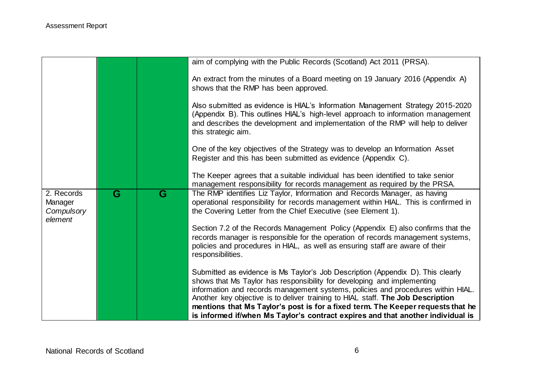|                                                |                         |   | aim of complying with the Public Records (Scotland) Act 2011 (PRSA).                                                                                                                                                                                                                                                              |
|------------------------------------------------|-------------------------|---|-----------------------------------------------------------------------------------------------------------------------------------------------------------------------------------------------------------------------------------------------------------------------------------------------------------------------------------|
|                                                |                         |   | An extract from the minutes of a Board meeting on 19 January 2016 (Appendix A)<br>shows that the RMP has been approved.                                                                                                                                                                                                           |
|                                                |                         |   | Also submitted as evidence is HIAL's Information Management Strategy 2015-2020<br>(Appendix B). This outlines HIAL's high-level approach to information management<br>and describes the development and implementation of the RMP will help to deliver<br>this strategic aim.                                                     |
|                                                |                         |   | One of the key objectives of the Strategy was to develop an Information Asset<br>Register and this has been submitted as evidence (Appendix C).                                                                                                                                                                                   |
|                                                |                         |   | The Keeper agrees that a suitable individual has been identified to take senior<br>management responsibility for records management as required by the PRSA.                                                                                                                                                                      |
| 2. Records<br>Manager<br>Compulsory<br>element | $\overline{\mathbf{G}}$ | G | The RMP identifies Liz Taylor, Information and Records Manager, as having<br>operational responsibility for records management within HIAL. This is confirmed in<br>the Covering Letter from the Chief Executive (see Element 1).                                                                                                 |
|                                                |                         |   | Section 7.2 of the Records Management Policy (Appendix E) also confirms that the<br>records manager is responsible for the operation of records management systems,<br>policies and procedures in HIAL, as well as ensuring staff are aware of their<br>responsibilities.                                                         |
|                                                |                         |   | Submitted as evidence is Ms Taylor's Job Description (Appendix D). This clearly<br>shows that Ms Taylor has responsibility for developing and implementing<br>information and records management systems, policies and procedures within HIAL.<br>Another key objective is to deliver training to HIAL staff. The Job Description |
|                                                |                         |   | mentions that Ms Taylor's post is for a fixed term. The Keeper requests that he<br>is informed if/when Ms Taylor's contract expires and that another individual is                                                                                                                                                                |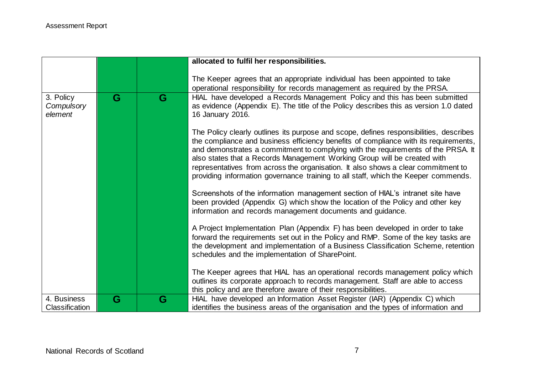|                                    |   |   | allocated to fulfil her responsibilities.                                                                                                                                                                                                                                                                                                                                                                                                                                                                                 |
|------------------------------------|---|---|---------------------------------------------------------------------------------------------------------------------------------------------------------------------------------------------------------------------------------------------------------------------------------------------------------------------------------------------------------------------------------------------------------------------------------------------------------------------------------------------------------------------------|
|                                    |   |   | The Keeper agrees that an appropriate individual has been appointed to take<br>operational responsibility for records management as required by the PRSA.                                                                                                                                                                                                                                                                                                                                                                 |
| 3. Policy<br>Compulsory<br>element | G | G | HIAL have developed a Records Management Policy and this has been submitted<br>as evidence (Appendix E). The title of the Policy describes this as version 1.0 dated<br>16 January 2016.                                                                                                                                                                                                                                                                                                                                  |
|                                    |   |   | The Policy clearly outlines its purpose and scope, defines responsibilities, describes<br>the compliance and business efficiency benefits of compliance with its requirements,<br>and demonstrates a commitment to complying with the requirements of the PRSA. It<br>also states that a Records Management Working Group will be created with<br>representatives from across the organisation. It also shows a clear commitment to<br>providing information governance training to all staff, which the Keeper commends. |
|                                    |   |   | Screenshots of the information management section of HIAL's intranet site have<br>been provided (Appendix G) which show the location of the Policy and other key<br>information and records management documents and guidance.                                                                                                                                                                                                                                                                                            |
|                                    |   |   | A Project Implementation Plan (Appendix F) has been developed in order to take<br>forward the requirements set out in the Policy and RMP. Some of the key tasks are<br>the development and implementation of a Business Classification Scheme, retention<br>schedules and the implementation of SharePoint.                                                                                                                                                                                                               |
|                                    |   |   | The Keeper agrees that HIAL has an operational records management policy which<br>outlines its corporate approach to records management. Staff are able to access<br>this policy and are therefore aware of their responsibilities.                                                                                                                                                                                                                                                                                       |
| 4. Business<br>Classification      | G | G | HIAL have developed an Information Asset Register (IAR) (Appendix C) which<br>identifies the business areas of the organisation and the types of information and                                                                                                                                                                                                                                                                                                                                                          |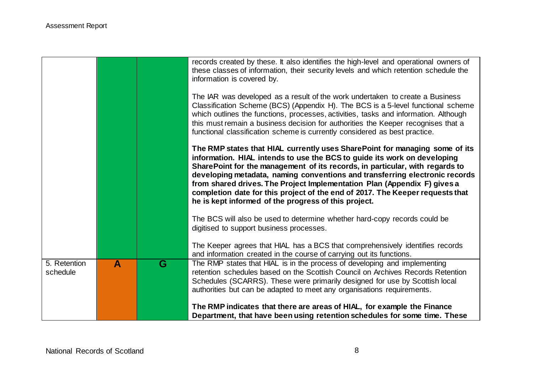|                          |   |   | records created by these. It also identifies the high-level and operational owners of<br>these classes of information, their security levels and which retention schedule the<br>information is covered by.<br>The IAR was developed as a result of the work undertaken to create a Business<br>Classification Scheme (BCS) (Appendix H). The BCS is a 5-level functional scheme<br>which outlines the functions, processes, activities, tasks and information. Although<br>this must remain a business decision for authorities the Keeper recognises that a<br>functional classification scheme is currently considered as best practice. |
|--------------------------|---|---|---------------------------------------------------------------------------------------------------------------------------------------------------------------------------------------------------------------------------------------------------------------------------------------------------------------------------------------------------------------------------------------------------------------------------------------------------------------------------------------------------------------------------------------------------------------------------------------------------------------------------------------------|
|                          |   |   | The RMP states that HIAL currently uses SharePoint for managing some of its<br>information. HIAL intends to use the BCS to guide its work on developing<br>SharePoint for the management of its records, in particular, with regards to<br>developing metadata, naming conventions and transferring electronic records<br>from shared drives. The Project Implementation Plan (Appendix F) gives a<br>completion date for this project of the end of 2017. The Keeper requests that<br>he is kept informed of the progress of this project.                                                                                                 |
|                          |   |   | The BCS will also be used to determine whether hard-copy records could be<br>digitised to support business processes.<br>The Keeper agrees that HIAL has a BCS that comprehensively identifies records                                                                                                                                                                                                                                                                                                                                                                                                                                      |
|                          |   |   | and information created in the course of carrying out its functions.                                                                                                                                                                                                                                                                                                                                                                                                                                                                                                                                                                        |
| 5. Retention<br>schedule | A | G | The RMP states that HIAL is in the process of developing and implementing<br>retention schedules based on the Scottish Council on Archives Records Retention<br>Schedules (SCARRS). These were primarily designed for use by Scottish local<br>authorities but can be adapted to meet any organisations requirements.                                                                                                                                                                                                                                                                                                                       |
|                          |   |   | The RMP indicates that there are areas of HIAL, for example the Finance<br>Department, that have been using retention schedules for some time. These                                                                                                                                                                                                                                                                                                                                                                                                                                                                                        |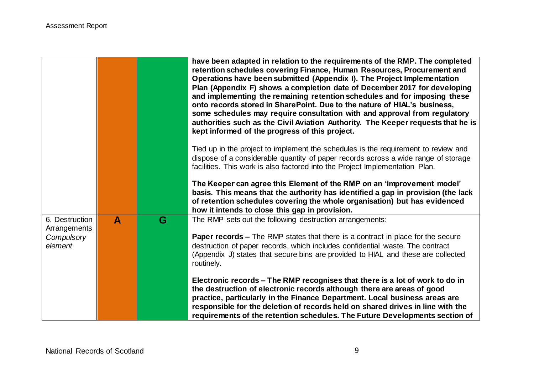|                                                         |                  |   | have been adapted in relation to the requirements of the RMP. The completed<br>retention schedules covering Finance, Human Resources, Procurement and<br>Operations have been submitted (Appendix I). The Project Implementation<br>Plan (Appendix F) shows a completion date of December 2017 for developing<br>and implementing the remaining retention schedules and for imposing these<br>onto records stored in SharePoint. Due to the nature of HIAL's business,<br>some schedules may require consultation with and approval from regulatory<br>authorities such as the Civil Aviation Authority. The Keeper requests that he is<br>kept informed of the progress of this project.                                                       |
|---------------------------------------------------------|------------------|---|-------------------------------------------------------------------------------------------------------------------------------------------------------------------------------------------------------------------------------------------------------------------------------------------------------------------------------------------------------------------------------------------------------------------------------------------------------------------------------------------------------------------------------------------------------------------------------------------------------------------------------------------------------------------------------------------------------------------------------------------------|
|                                                         |                  |   | Tied up in the project to implement the schedules is the requirement to review and<br>dispose of a considerable quantity of paper records across a wide range of storage<br>facilities. This work is also factored into the Project Implementation Plan.<br>The Keeper can agree this Element of the RMP on an 'improvement model'<br>basis. This means that the authority has identified a gap in provision (the lack<br>of retention schedules covering the whole organisation) but has evidenced<br>how it intends to close this gap in provision.                                                                                                                                                                                           |
| 6. Destruction<br>Arrangements<br>Compulsory<br>element | $\blacktriangle$ | G | The RMP sets out the following destruction arrangements:<br><b>Paper records –</b> The RMP states that there is a contract in place for the secure<br>destruction of paper records, which includes confidential waste. The contract<br>(Appendix J) states that secure bins are provided to HIAL and these are collected<br>routinely.<br>Electronic records – The RMP recognises that there is a lot of work to do in<br>the destruction of electronic records although there are areas of good<br>practice, particularly in the Finance Department. Local business areas are<br>responsible for the deletion of records held on shared drives in line with the<br>requirements of the retention schedules. The Future Developments section of |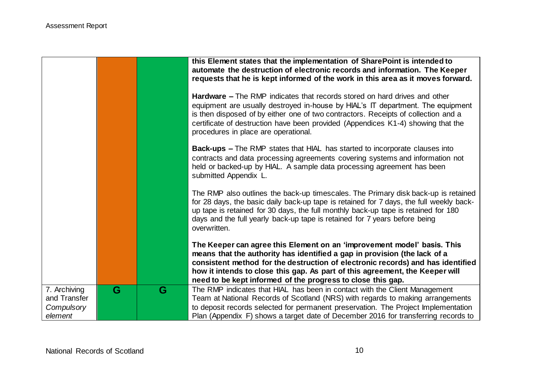|                                                       |   |   | this Element states that the implementation of SharePoint is intended to<br>automate the destruction of electronic records and information. The Keeper<br>requests that he is kept informed of the work in this area as it moves forward.<br><b>Hardware –</b> The RMP indicates that records stored on hard drives and other<br>equipment are usually destroyed in-house by HIAL's IT department. The equipment<br>is then disposed of by either one of two contractors. Receipts of collection and a<br>certificate of destruction have been provided (Appendices K1-4) showing that the<br>procedures in place are operational. |
|-------------------------------------------------------|---|---|------------------------------------------------------------------------------------------------------------------------------------------------------------------------------------------------------------------------------------------------------------------------------------------------------------------------------------------------------------------------------------------------------------------------------------------------------------------------------------------------------------------------------------------------------------------------------------------------------------------------------------|
|                                                       |   |   | <b>Back-ups - The RMP states that HIAL has started to incorporate clauses into</b><br>contracts and data processing agreements covering systems and information not<br>held or backed-up by HIAL. A sample data processing agreement has been<br>submitted Appendix L.                                                                                                                                                                                                                                                                                                                                                             |
|                                                       |   |   | The RMP also outlines the back-up timescales. The Primary disk back-up is retained<br>for 28 days, the basic daily back-up tape is retained for 7 days, the full weekly back-<br>up tape is retained for 30 days, the full monthly back-up tape is retained for 180<br>days and the full yearly back-up tape is retained for 7 years before being<br>overwritten.                                                                                                                                                                                                                                                                  |
|                                                       |   |   | The Keeper can agree this Element on an 'improvement model' basis. This<br>means that the authority has identified a gap in provision (the lack of a<br>consistent method for the destruction of electronic records) and has identified<br>how it intends to close this gap. As part of this agreement, the Keeper will<br>need to be kept informed of the progress to close this gap.                                                                                                                                                                                                                                             |
| 7. Archiving<br>and Transfer<br>Compulsory<br>element | G | G | The RMP indicates that HIAL has been in contact with the Client Management<br>Team at National Records of Scotland (NRS) with regards to making arrangements<br>to deposit records selected for permanent preservation. The Project Implementation<br>Plan (Appendix F) shows a target date of December 2016 for transferring records to                                                                                                                                                                                                                                                                                           |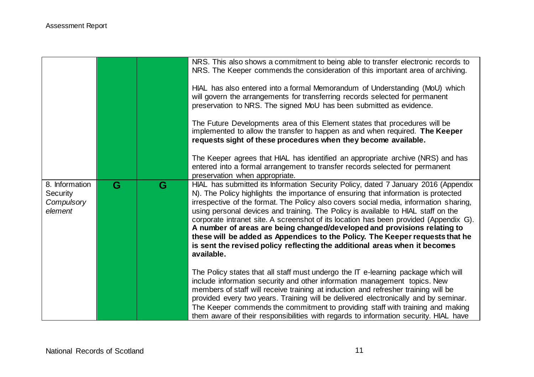|                                                            |   |   | NRS. This also shows a commitment to being able to transfer electronic records to<br>NRS. The Keeper commends the consideration of this important area of archiving.<br>HIAL has also entered into a formal Memorandum of Understanding (MoU) which<br>will govern the arrangements for transferring records selected for permanent<br>preservation to NRS. The signed MoU has been submitted as evidence.<br>The Future Developments area of this Element states that procedures will be<br>implemented to allow the transfer to happen as and when required. The Keeper<br>requests sight of these procedures when they become available.<br>The Keeper agrees that HIAL has identified an appropriate archive (NRS) and has<br>entered into a formal arrangement to transfer records selected for permanent<br>preservation when appropriate.                                                                                                                                                                                                                                                                                                                                                                                  |
|------------------------------------------------------------|---|---|-----------------------------------------------------------------------------------------------------------------------------------------------------------------------------------------------------------------------------------------------------------------------------------------------------------------------------------------------------------------------------------------------------------------------------------------------------------------------------------------------------------------------------------------------------------------------------------------------------------------------------------------------------------------------------------------------------------------------------------------------------------------------------------------------------------------------------------------------------------------------------------------------------------------------------------------------------------------------------------------------------------------------------------------------------------------------------------------------------------------------------------------------------------------------------------------------------------------------------------|
| 8. Information<br><b>Security</b><br>Compulsory<br>element | G | G | HIAL has submitted its Information Security Policy, dated 7 January 2016 (Appendix<br>N). The Policy highlights the importance of ensuring that information is protected<br>irrespective of the format. The Policy also covers social media, information sharing,<br>using personal devices and training. The Policy is available to HIAL staff on the<br>corporate intranet site. A screenshot of its location has been provided (Appendix G).<br>A number of areas are being changed/developed and provisions relating to<br>these will be added as Appendices to the Policy. The Keeper requests that he<br>is sent the revised policy reflecting the additional areas when it becomes<br>available.<br>The Policy states that all staff must undergo the IT e-learning package which will<br>include information security and other information management topics. New<br>members of staff will receive training at induction and refresher training will be<br>provided every two years. Training will be delivered electronically and by seminar.<br>The Keeper commends the commitment to providing staff with training and making<br>them aware of their responsibilities with regards to information security. HIAL have |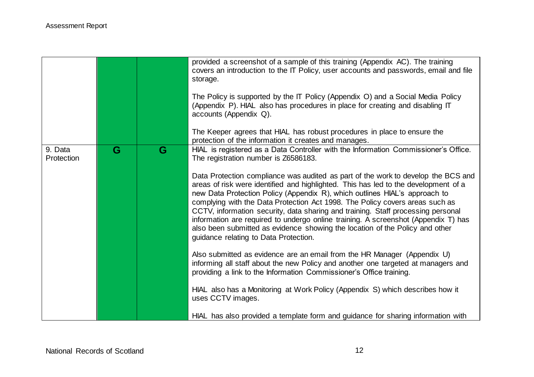|                       |   |   | provided a screenshot of a sample of this training (Appendix AC). The training<br>covers an introduction to the IT Policy, user accounts and passwords, email and file<br>storage.<br>The Policy is supported by the IT Policy (Appendix O) and a Social Media Policy<br>(Appendix P). HIAL also has procedures in place for creating and disabling IT<br>accounts (Appendix Q).<br>The Keeper agrees that HIAL has robust procedures in place to ensure the                                                                                                                                                                                                                                                                                                                                                                      |
|-----------------------|---|---|-----------------------------------------------------------------------------------------------------------------------------------------------------------------------------------------------------------------------------------------------------------------------------------------------------------------------------------------------------------------------------------------------------------------------------------------------------------------------------------------------------------------------------------------------------------------------------------------------------------------------------------------------------------------------------------------------------------------------------------------------------------------------------------------------------------------------------------|
| 9. Data<br>Protection | G | G | protection of the information it creates and manages.<br>HIAL is registered as a Data Controller with the Information Commissioner's Office.<br>The registration number is Z6586183.<br>Data Protection compliance was audited as part of the work to develop the BCS and<br>areas of risk were identified and highlighted. This has led to the development of a<br>new Data Protection Policy (Appendix R), which outlines HIAL's approach to<br>complying with the Data Protection Act 1998. The Policy covers areas such as<br>CCTV, information security, data sharing and training. Staff processing personal<br>information are required to undergo online training. A screenshot (Appendix T) has<br>also been submitted as evidence showing the location of the Policy and other<br>guidance relating to Data Protection. |
|                       |   |   | Also submitted as evidence are an email from the HR Manager (Appendix U)<br>informing all staff about the new Policy and another one targeted at managers and<br>providing a link to the Information Commissioner's Office training.<br>HIAL also has a Monitoring at Work Policy (Appendix S) which describes how it<br>uses CCTV images.<br>HIAL has also provided a template form and guidance for sharing information with                                                                                                                                                                                                                                                                                                                                                                                                    |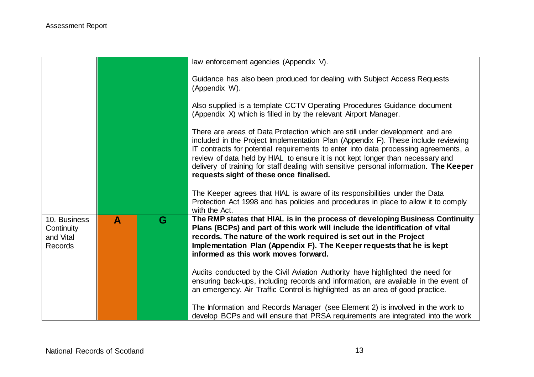|                                                           |                  |   | law enforcement agencies (Appendix V).                                                                                                                                                                                                                                                                                                                                                                                                                                          |
|-----------------------------------------------------------|------------------|---|---------------------------------------------------------------------------------------------------------------------------------------------------------------------------------------------------------------------------------------------------------------------------------------------------------------------------------------------------------------------------------------------------------------------------------------------------------------------------------|
|                                                           |                  |   | Guidance has also been produced for dealing with Subject Access Requests<br>(Appendix W).                                                                                                                                                                                                                                                                                                                                                                                       |
|                                                           |                  |   | Also supplied is a template CCTV Operating Procedures Guidance document<br>(Appendix X) which is filled in by the relevant Airport Manager.                                                                                                                                                                                                                                                                                                                                     |
|                                                           |                  |   | There are areas of Data Protection which are still under development and are<br>included in the Project Implementation Plan (Appendix F). These include reviewing<br>IT contracts for potential requirements to enter into data processing agreements, a<br>review of data held by HIAL to ensure it is not kept longer than necessary and<br>delivery of training for staff dealing with sensitive personal information. The Keeper<br>requests sight of these once finalised. |
|                                                           |                  |   | The Keeper agrees that HIAL is aware of its responsibilities under the Data<br>Protection Act 1998 and has policies and procedures in place to allow it to comply<br>with the Act.                                                                                                                                                                                                                                                                                              |
| 10. Business<br>Continuity<br>and Vital<br><b>Records</b> | $\blacktriangle$ | G | The RMP states that HIAL is in the process of developing Business Continuity<br>Plans (BCPs) and part of this work will include the identification of vital<br>records. The nature of the work required is set out in the Project<br>Implementation Plan (Appendix F). The Keeper requests that he is kept<br>informed as this work moves forward.                                                                                                                              |
|                                                           |                  |   | Audits conducted by the Civil Aviation Authority have highlighted the need for<br>ensuring back-ups, including records and information, are available in the event of<br>an emergency. Air Traffic Control is highlighted as an area of good practice.                                                                                                                                                                                                                          |
|                                                           |                  |   | The Information and Records Manager (see Element 2) is involved in the work to<br>develop BCPs and will ensure that PRSA requirements are integrated into the work                                                                                                                                                                                                                                                                                                              |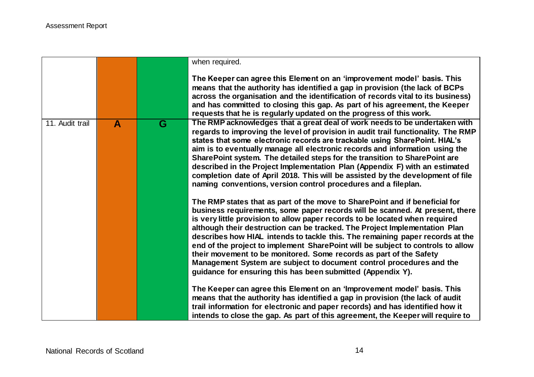|                 |              |   | when required.                                                                                                                                                                                                                                                                                                                                                                                                                                                                                                                                                                                                                                                                                            |
|-----------------|--------------|---|-----------------------------------------------------------------------------------------------------------------------------------------------------------------------------------------------------------------------------------------------------------------------------------------------------------------------------------------------------------------------------------------------------------------------------------------------------------------------------------------------------------------------------------------------------------------------------------------------------------------------------------------------------------------------------------------------------------|
|                 |              |   | The Keeper can agree this Element on an 'improvement model' basis. This<br>means that the authority has identified a gap in provision (the lack of BCPs<br>across the organisation and the identification of records vital to its business)<br>and has committed to closing this gap. As part of his agreement, the Keeper<br>requests that he is regularly updated on the progress of this work.                                                                                                                                                                                                                                                                                                         |
| 11. Audit trail | $\mathbf{A}$ | G | The RMP acknowledges that a great deal of work needs to be undertaken with<br>regards to improving the level of provision in audit trail functionality. The RMP<br>states that some electronic records are trackable using SharePoint. HIAL's<br>aim is to eventually manage all electronic records and information using the<br>SharePoint system. The detailed steps for the transition to SharePoint are<br>described in the Project Implementation Plan (Appendix F) with an estimated<br>completion date of April 2018. This will be assisted by the development of file<br>naming conventions, version control procedures and a fileplan.                                                           |
|                 |              |   | The RMP states that as part of the move to SharePoint and if beneficial for<br>business requirements, some paper records will be scanned. At present, there<br>is very little provision to allow paper records to be located when required<br>although their destruction can be tracked. The Project Implementation Plan<br>describes how HIAL intends to tackle this. The remaining paper records at the<br>end of the project to implement SharePoint will be subject to controls to allow<br>their movement to be monitored. Some records as part of the Safety<br>Management System are subject to document control procedures and the<br>guidance for ensuring this has been submitted (Appendix Y). |
|                 |              |   | The Keeper can agree this Element on an 'Improvement model' basis. This<br>means that the authority has identified a gap in provision (the lack of audit<br>trail information for electronic and paper records) and has identified how it<br>intends to close the gap. As part of this agreement, the Keeper will require to                                                                                                                                                                                                                                                                                                                                                                              |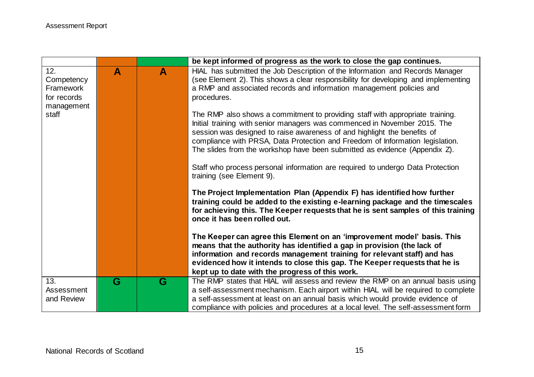|                                                             |   |                  | be kept informed of progress as the work to close the gap continues.                                                                                                                                                                                                                                                                                                                                  |
|-------------------------------------------------------------|---|------------------|-------------------------------------------------------------------------------------------------------------------------------------------------------------------------------------------------------------------------------------------------------------------------------------------------------------------------------------------------------------------------------------------------------|
| 12.<br>Competency<br>Framework<br>for records<br>management | A | $\blacktriangle$ | HIAL has submitted the Job Description of the Information and Records Manager<br>(see Element 2). This shows a clear responsibility for developing and implementing<br>a RMP and associated records and information management policies and<br>procedures.                                                                                                                                            |
| staff                                                       |   |                  | The RMP also shows a commitment to providing staff with appropriate training.<br>Initial training with senior managers was commenced in November 2015. The<br>session was designed to raise awareness of and highlight the benefits of<br>compliance with PRSA, Data Protection and Freedom of Information legislation.<br>The slides from the workshop have been submitted as evidence (Appendix Z). |
|                                                             |   |                  | Staff who process personal information are required to undergo Data Protection<br>training (see Element 9).                                                                                                                                                                                                                                                                                           |
|                                                             |   |                  | The Project Implementation Plan (Appendix F) has identified how further<br>training could be added to the existing e-learning package and the timescales<br>for achieving this. The Keeper requests that he is sent samples of this training<br>once it has been rolled out.                                                                                                                          |
|                                                             |   |                  | The Keeper can agree this Element on an 'improvement model' basis. This<br>means that the authority has identified a gap in provision (the lack of<br>information and records management training for relevant staff) and has<br>evidenced how it intends to close this gap. The Keeper requests that he is<br>kept up to date with the progress of this work.                                        |
| 13.                                                         | G | G                | The RMP states that HIAL will assess and review the RMP on an annual basis using                                                                                                                                                                                                                                                                                                                      |
| Assessment<br>and Review                                    |   |                  | a self-assessment mechanism. Each airport within HIAL will be required to complete<br>a self-assessment at least on an annual basis which would provide evidence of                                                                                                                                                                                                                                   |
|                                                             |   |                  | compliance with policies and procedures at a local level. The self-assessment form                                                                                                                                                                                                                                                                                                                    |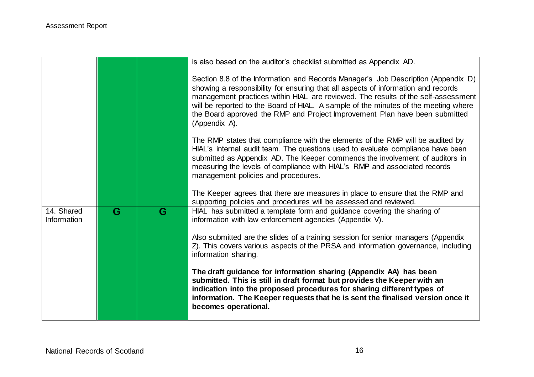|                                  |   |   | is also based on the auditor's checklist submitted as Appendix AD.                                                                                                                                                                                                                                                                                                                                                                                 |
|----------------------------------|---|---|----------------------------------------------------------------------------------------------------------------------------------------------------------------------------------------------------------------------------------------------------------------------------------------------------------------------------------------------------------------------------------------------------------------------------------------------------|
|                                  |   |   | Section 8.8 of the Information and Records Manager's Job Description (Appendix D)<br>showing a responsibility for ensuring that all aspects of information and records<br>management practices within HIAL are reviewed. The results of the self-assessment<br>will be reported to the Board of HIAL. A sample of the minutes of the meeting where<br>the Board approved the RMP and Project Improvement Plan have been submitted<br>(Appendix A). |
|                                  |   |   | The RMP states that compliance with the elements of the RMP will be audited by<br>HIAL's internal audit team. The questions used to evaluate compliance have been<br>submitted as Appendix AD. The Keeper commends the involvement of auditors in<br>measuring the levels of compliance with HIAL's RMP and associated records<br>management policies and procedures.                                                                              |
|                                  |   |   | The Keeper agrees that there are measures in place to ensure that the RMP and<br>supporting policies and procedures will be assessed and reviewed.                                                                                                                                                                                                                                                                                                 |
| 14. Shared<br><b>Information</b> | G | G | HIAL has submitted a template form and guidance covering the sharing of<br>information with law enforcement agencies (Appendix V).                                                                                                                                                                                                                                                                                                                 |
|                                  |   |   | Also submitted are the slides of a training session for senior managers (Appendix<br>Z). This covers various aspects of the PRSA and information governance, including<br>information sharing.                                                                                                                                                                                                                                                     |
|                                  |   |   | The draft guidance for information sharing (Appendix AA) has been<br>submitted. This is still in draft format but provides the Keeper with an<br>indication into the proposed procedures for sharing different types of<br>information. The Keeper requests that he is sent the finalised version once it<br>becomes operational.                                                                                                                  |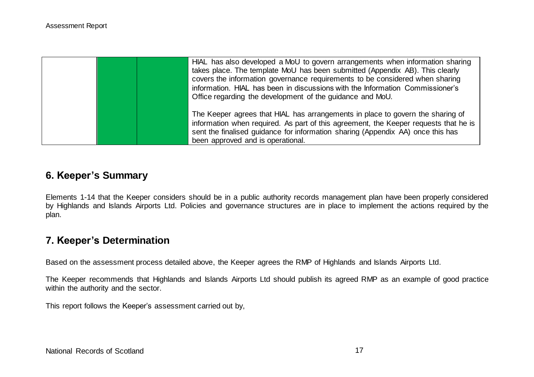|  | HIAL has also developed a MoU to govern arrangements when information sharing<br>takes place. The template MoU has been submitted (Appendix AB). This clearly<br>covers the information governance requirements to be considered when sharing<br>information. HIAL has been in discussions with the Information Commissioner's<br>Office regarding the development of the guidance and MoU. |
|--|---------------------------------------------------------------------------------------------------------------------------------------------------------------------------------------------------------------------------------------------------------------------------------------------------------------------------------------------------------------------------------------------|
|  | The Keeper agrees that HIAL has arrangements in place to govern the sharing of<br>information when required. As part of this agreement, the Keeper requests that he is<br>sent the finalised guidance for information sharing (Appendix AA) once this has<br>been approved and is operational.                                                                                              |

## **6. Keeper's Summary**

Elements 1-14 that the Keeper considers should be in a public authority records management plan have been properly considered by Highlands and Islands Airports Ltd. Policies and governance structures are in place to implement the actions required by the plan.

### **7. Keeper's Determination**

Based on the assessment process detailed above, the Keeper agrees the RMP of Highlands and Islands Airports Ltd.

The Keeper recommends that Highlands and Islands Airports Ltd should publish its agreed RMP as an example of good practice within the authority and the sector.

This report follows the Keeper's assessment carried out by,